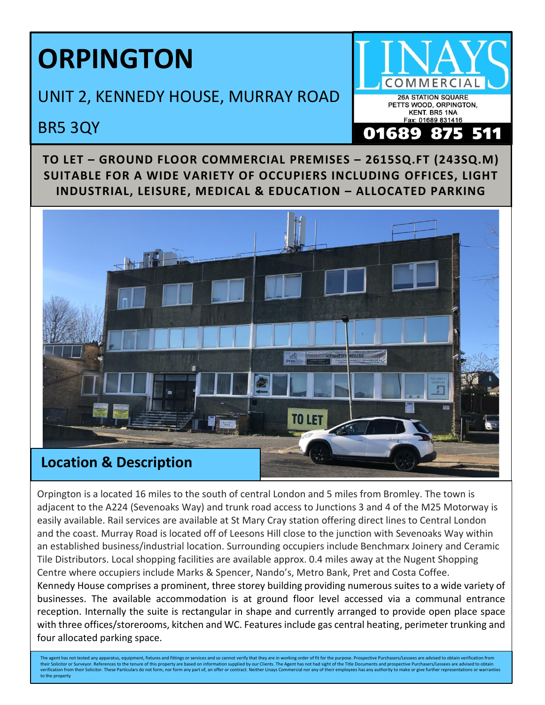## **ORPINGTON**

UNIT 2, KENNEDY HOUSE, MURRAY ROAD

## BR5 3QY



**TO LET – GROUND FLOOR COMMERCIAL PREMISES – 2615SQ.FT (243SQ.M) SUITABLE FOR A WIDE VARIETY OF OCCUPIERS INCLUDING OFFICES, LIGHT INDUSTRIAL, LEISURE, MEDICAL & EDUCATION – ALLOCATED PARKING**



Orpington is a located 16 miles to the south of central London and 5 miles from Bromley. The town is adjacent to the A224 (Sevenoaks Way) and trunk road access to Junctions 3 and 4 of the M25 Motorway is easily available. Rail services are available at St Mary Cray station offering direct lines to Central London and the coast. Murray Road is located off of Leesons Hill close to the junction with Sevenoaks Way within an established business/industrial location. Surrounding occupiers include Benchmarx Joinery and Ceramic Tile Distributors. Local shopping facilities are available approx. 0.4 miles away at the Nugent Shopping Centre where occupiers include Marks & Spencer, Nando's, Metro Bank, Pret and Costa Coffee. Kennedy House comprises a prominent, three storey building providing numerous suites to a wide variety of businesses. The available accommodation is at ground floor level accessed via a communal entrance reception. Internally the suite is rectangular in shape and currently arranged to provide open place space with three offices/storerooms, kitchen and WC. Features include gas central heating, perimeter trunking and four allocated parking space.

The agent has not tested any apparatus, equipment, fixtures and fittings or services and so cannot verify that they are in working order of fit for the purpose. Prospective Purchasers/Lessees are advised to obtain verifica their Solicitor or Surveyor. References to the tenure of this property are based on information supplied by our Clients. The Agent has not had sight of the Title Documents and prospective Purchasers/Lessees are advised to to the property